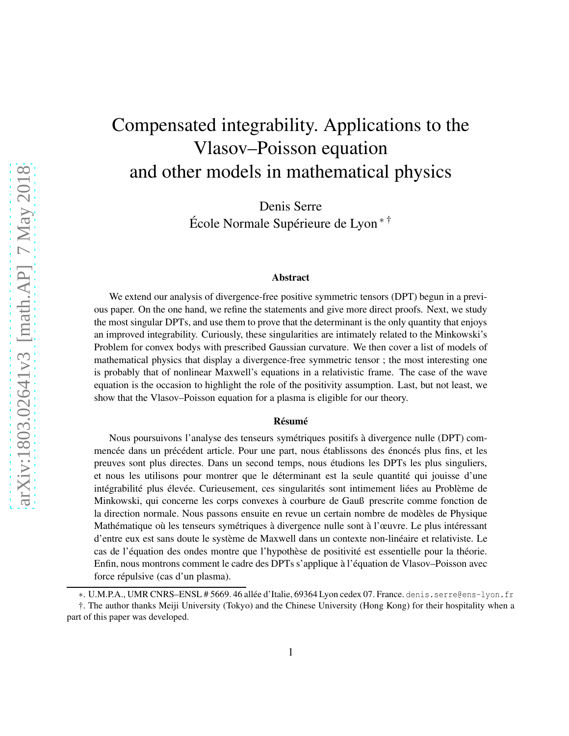# Compensated integrability. Applications to the Vlasov–Poisson equation and other models in mathematical physics

Denis Serre

École Normale Supérieure de Lyon\*<sup>†</sup>

#### Abstract

We extend our analysis of divergence-free positive symmetric tensors (DPT) begun in a previous paper. On the one hand, we refine the statements and give more direct proofs. Next, we study the most singular DPTs, and use them to prove that the determinant is the only quantity that enjoys an improved integrability. Curiously, these singularities are intimately related to the Minkowski's Problem for convex bodys with prescribed Gaussian curvature. We then cover a list of models of mathematical physics that display a divergence-free symmetric tensor ; the most interesting one is probably that of nonlinear Maxwell's equations in a relativistic frame. The case of the wave equation is the occasion to highlight the role of the positivity assumption. Last, but not least, we show that the Vlasov–Poisson equation for a plasma is eligible for our theory.

#### **Résumé**

Nous poursuivons l'analyse des tenseurs symétriques positifs à divergence nulle (DPT) commencée dans un précédent article. Pour une part, nous établissons des énoncés plus fins, et les preuves sont plus directes. Dans un second temps, nous étudions les DPTs les plus singuliers, et nous les utilisons pour montrer que le déterminant est la seule quantité qui jouisse d'une intégrabilité plus élevée. Curieusement, ces singularités sont intimement liées au Problème de Minkowski, qui concerne les corps convexes à courbure de Gauß prescrite comme fonction de la direction normale. Nous passons ensuite en revue un certain nombre de modèles de Physique Mathématique où les tenseurs symétriques à divergence nulle sont à l'œuvre. Le plus intéressant d'entre eux est sans doute le système de Maxwell dans un contexte non-linéaire et relativiste. Le cas de l'équation des ondes montre que l'hypothèse de positivité est essentielle pour la théorie. Enfin, nous montrons comment le cadre des DPTs s'applique à l'équation de Vlasov–Poisson avec force répulsive (cas d'un plasma).

<sup>∗</sup>. U.M.P.A., UMR CNRS–ENSL # 5669. 46 all´ee d'Italie, 69364 Lyon cedex 07. France. denis.serre@ens-lyon.fr

<sup>†.</sup> The author thanks Meiji University (Tokyo) and the Chinese University (Hong Kong) for their hospitality when a part of this paper was developed.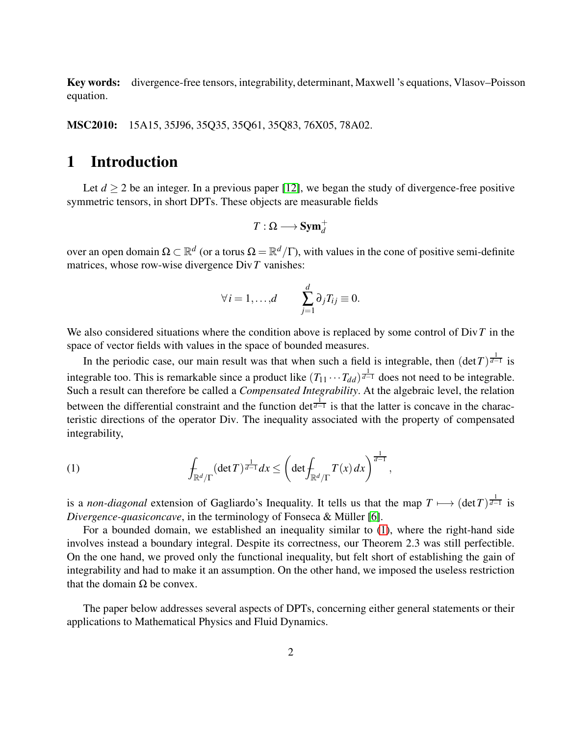Key words: divergence-free tensors, integrability, determinant, Maxwell 's equations, Vlasov–Poisson equation.

MSC2010: 15A15, 35J96, 35Q35, 35Q61, 35Q83, 76X05, 78A02.

# 1 Introduction

Let  $d \geq 2$  be an integer. In a previous paper [\[12\]](#page-23-0), we began the study of divergence-free positive symmetric tensors, in short DPTs. These objects are measurable fields

$$
T:\Omega\longrightarrow \text{\bf Sym}_d^+
$$

over an open domain  $\Omega \subset \mathbb{R}^d$  (or a torus  $\Omega = \mathbb{R}^d/\Gamma$ ), with values in the cone of positive semi-definite matrices, whose row-wise divergence Div*T* vanishes:

$$
\forall i=1,\ldots,d \qquad \sum_{j=1}^d \partial_j T_{ij} \equiv 0.
$$

We also considered situations where the condition above is replaced by some control of Div*T* in the space of vector fields with values in the space of bounded measures.

In the periodic case, our main result was that when such a field is integrable, then  $(\det T)^{\frac{1}{d-1}}$  is integrable too. This is remarkable since a product like  $(T_{11} \cdots T_{dd})^{\frac{1}{d-1}}$  does not need to be integrable. Such a result can therefore be called a *Compensated Integrability*. At the algebraic level, the relation between the differential constraint and the function det<sup> $\frac{1}{d-1}$ </sup> is that the latter is concave in the characteristic directions of the operator Div. The inequality associated with the property of compensated integrability,

<span id="page-1-0"></span>(1) 
$$
\int_{\mathbb{R}^d/\Gamma} (\det T)^{\frac{1}{d-1}} dx \leq \left( \det \int_{\mathbb{R}^d/\Gamma} T(x) dx \right)^{\frac{1}{d-1}},
$$

is a *non-diagonal* extension of Gagliardo's Inequality. It tells us that the map  $T \mapsto (\det T)^{\frac{1}{d-1}}$  is *Divergence-quasiconcave*, in the terminology of Fonseca & Müller [\[6\]](#page-23-1).

For a bounded domain, we established an inequality similar to [\(1\)](#page-1-0), where the right-hand side involves instead a boundary integral. Despite its correctness, our Theorem 2.3 was still perfectible. On the one hand, we proved only the functional inequality, but felt short of establishing the gain of integrability and had to make it an assumption. On the other hand, we imposed the useless restriction that the domain  $Ω$  be convex.

The paper below addresses several aspects of DPTs, concerning either general statements or their applications to Mathematical Physics and Fluid Dynamics.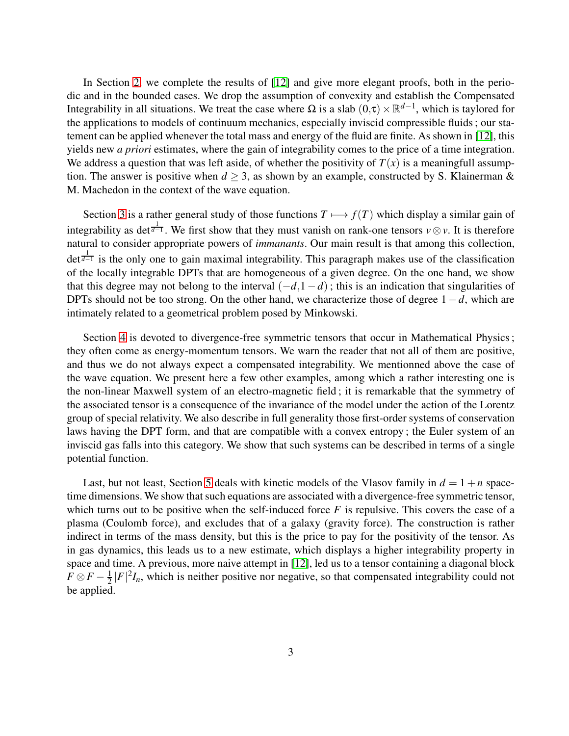In Section [2,](#page-3-0) we complete the results of [\[12\]](#page-23-0) and give more elegant proofs, both in the periodic and in the bounded cases. We drop the assumption of convexity and establish the Compensated Integrability in all situations. We treat the case where  $\Omega$  is a slab  $(0, \tau) \times \mathbb{R}^{d-1}$ , which is taylored for the applications to models of continuum mechanics, especially inviscid compressible fluids ; our statement can be applied whenever the total mass and energy of the fluid are finite. As shown in [\[12\]](#page-23-0), this yields new *a priori* estimates, where the gain of integrability comes to the price of a time integration. We address a question that was left aside, of whether the positivity of  $T(x)$  is a meaningfull assumption. The answer is positive when  $d \geq 3$ , as shown by an example, constructed by S. Klainerman & M. Machedon in the context of the wave equation.

Section [3](#page-7-0) is a rather general study of those functions  $T \mapsto f(T)$  which display a similar gain of integrability as det<sup> $\frac{1}{d-1}$ </sup>. We first show that they must vanish on rank-one tensors *v*⊗*v*. It is therefore natural to consider appropriate powers of *immanants*. Our main result is that among this collection, det<sup> $\frac{1}{d-1}$ </sup> is the only one to gain maximal integrability. This paragraph makes use of the classification of the locally integrable DPTs that are homogeneous of a given degree. On the one hand, we show that this degree may not belong to the interval  $(-d,1-d)$ ; this is an indication that singularities of DPTs should not be too strong. On the other hand, we characterize those of degree 1−*d*, which are intimately related to a geometrical problem posed by Minkowski.

Section [4](#page-13-0) is devoted to divergence-free symmetric tensors that occur in Mathematical Physics; they often come as energy-momentum tensors. We warn the reader that not all of them are positive, and thus we do not always expect a compensated integrability. We mentionned above the case of the wave equation. We present here a few other examples, among which a rather interesting one is the non-linear Maxwell system of an electro-magnetic field ; it is remarkable that the symmetry of the associated tensor is a consequence of the invariance of the model under the action of the Lorentz group of special relativity. We also describe in full generality those first-order systems of conservation laws having the DPT form, and that are compatible with a convex entropy ; the Euler system of an inviscid gas falls into this category. We show that such systems can be described in terms of a single potential function.

Last, but not least, Section [5](#page-19-0) deals with kinetic models of the Vlasov family in  $d = 1 + n$  spacetime dimensions. We show that such equations are associated with a divergence-free symmetric tensor, which turns out to be positive when the self-induced force  $F$  is repulsive. This covers the case of a plasma (Coulomb force), and excludes that of a galaxy (gravity force). The construction is rather indirect in terms of the mass density, but this is the price to pay for the positivity of the tensor. As in gas dynamics, this leads us to a new estimate, which displays a higher integrability property in space and time. A previous, more naive attempt in [\[12\]](#page-23-0), led us to a tensor containing a diagonal block  $F \otimes F - \frac{1}{2}$  $\frac{1}{2}|F|^2I_n$ , which is neither positive nor negative, so that compensated integrability could not be applied.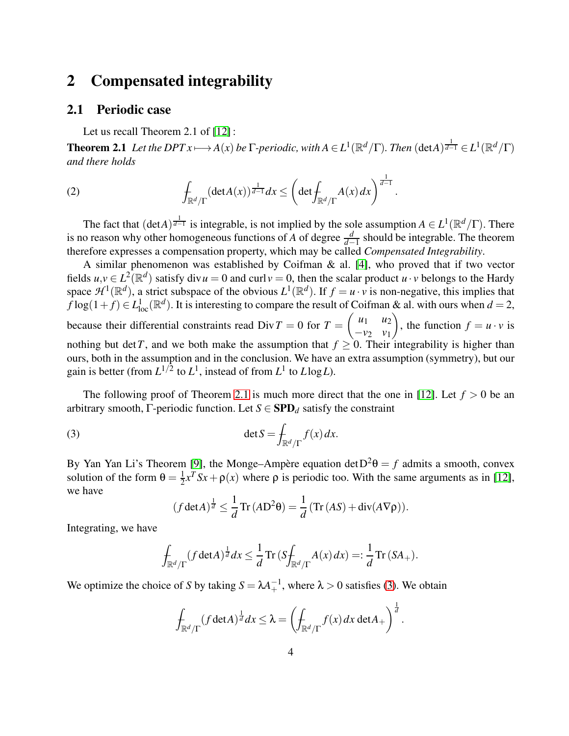# <span id="page-3-0"></span>2 Compensated integrability

### 2.1 Periodic case

<span id="page-3-1"></span>Let us recall Theorem 2.1 of [\[12\]](#page-23-0) :

**Theorem 2.1** Let the DPT  $x \mapsto A(x)$  be  $\Gamma$ -periodic, with  $A \in L^1(\mathbb{R}^d/\Gamma)$ . Then  $(\det A)^{\frac{1}{d-1}} \in L^1(\mathbb{R}^d/\Gamma)$ *and there holds*

<span id="page-3-3"></span>(2) 
$$
\int_{\mathbb{R}^d/\Gamma} (\det A(x))^{1\over d-1} dx \leq \left( \det \int_{\mathbb{R}^d/\Gamma} A(x) dx \right)^{1\over d-1}.
$$

The fact that  $(\det A)^{\frac{1}{d-1}}$  is integrable, is not implied by the sole assumption  $A \in L^1(\mathbb{R}^d/\Gamma)$ . There is no reason why other homogeneous functions of *A* of degree  $\frac{d}{d-1}$  should be integrable. The theorem therefore expresses a compensation property, which may be called *Compensated Integrability*.

A similar phenomenon was established by Coifman & al. [\[4\]](#page-23-2), who proved that if two vector fields  $u, v \in L^2(\mathbb{R}^d)$  satisfy div $u = 0$  and curl  $v = 0$ , then the scalar product  $u \cdot v$  belongs to the Hardy space  $\mathcal{H}^1(\mathbb{R}^d)$ , a strict subspace of the obvious  $L^1(\mathbb{R}^d)$ . If  $f = u \cdot v$  is non-negative, this implies that  $f \log(1+f) \in L^1_{loc}(\mathbb{R}^d)$ . It is interesting to compare the result of Coifman & al. with ours when  $d = 2$ , because their differential constraints read  $Div T = 0$  for  $T =$  $\begin{pmatrix} u_1 & u_2 \end{pmatrix}$ −*v*<sup>2</sup> *v*<sup>1</sup>  $\overline{ }$ , the function  $f = u \cdot v$  is nothing but det *T*, and we both make the assumption that  $f \geq 0$ . Their integrability is higher than ours, both in the assumption and in the conclusion. We have an extra assumption (symmetry), but our gain is better (from  $L^{1/2}$  to  $L^1$ , instead of from  $L^1$  to  $L \log L$ ).

The following proof of Theorem [2.1](#page-3-1) is much more direct that the one in [\[12\]](#page-23-0). Let  $f > 0$  be an arbitrary smooth,  $\Gamma$ -periodic function. Let  $S \in \mathbf{SPD}_d$  satisfy the constraint

(3) 
$$
\det S = \int_{\mathbb{R}^d/\Gamma} f(x) dx.
$$

By Yan Yan Li's Theorem [\[9\]](#page-23-3), the Monge–Ampère equation det  $D^2\theta = f$  admits a smooth, convex solution of the form  $\theta = \frac{1}{2}$  $\frac{1}{2}x^T S x + \rho(x)$  where  $\rho$  is periodic too. With the same arguments as in [\[12\]](#page-23-0), we have

<span id="page-3-2"></span>
$$
(f \det A)^{\frac{1}{d}} \leq \frac{1}{d} \operatorname{Tr} (A D^2 \theta) = \frac{1}{d} (\operatorname{Tr} (A S) + \operatorname{div} (A \nabla \rho)).
$$

Integrating, we have

$$
\int_{\mathbb{R}^d/\Gamma} (f \det A)^{\frac{1}{d}} dx \leq \frac{1}{d} \operatorname{Tr} \left( S \int_{\mathbb{R}^d/\Gamma} A(x) dx \right) =: \frac{1}{d} \operatorname{Tr} \left( S A_+ \right).
$$

We optimize the choice of *S* by taking  $S = \lambda A_+^{-1}$ , where  $\lambda > 0$  satisfies [\(3\)](#page-3-2). We obtain

$$
\int_{\mathbb{R}^d/\Gamma} (f \det A)^{\frac{1}{d}} dx \leq \lambda = \left( \int_{\mathbb{R}^d/\Gamma} f(x) dx \det A_+ \right)^{\frac{1}{d}}.
$$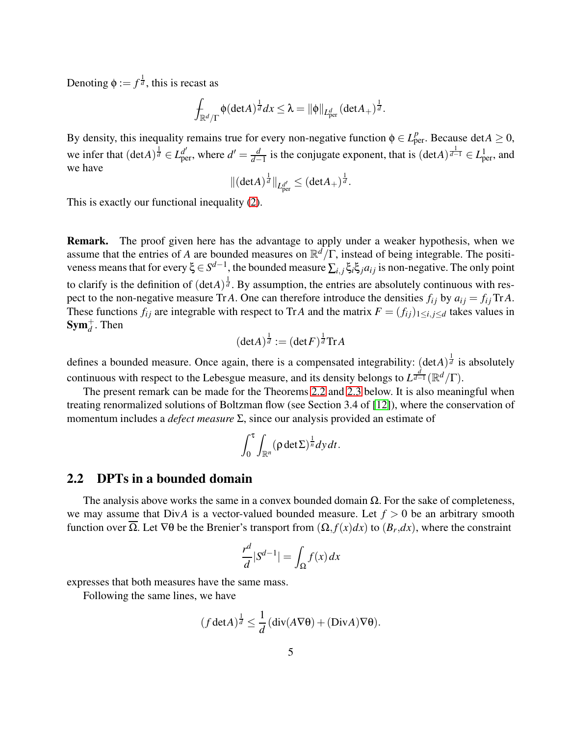Denoting  $\phi := f^{\frac{1}{d}}$ , this is recast as

$$
\int_{\mathbb{R}^d/\Gamma} \phi(\det A)^{\frac{1}{d}} dx \leq \lambda = ||\phi||_{L^d_{\rm per}} (\det A_+)^{\frac{1}{d}}.
$$

By density, this inequality remains true for every non-negative function  $\phi \in L^p_{per}$ . Because det $A \ge 0$ , we infer that  $(\text{det}A)^{\frac{1}{d}} \in L^{d'}_{\text{per}}$ , where  $d' = \frac{d}{d}$  $\frac{d}{d-1}$  is the conjugate exponent, that is  $(\text{det}A)^{\frac{1}{d-1}}$  ∈  $L^1_{\text{per}}$ , and we have

$$
\|(\hbox{det} A)^{\frac1d}\|_{L^{d'}_{\rm per}}\leq (\hbox{det} A_+)^{\frac1d}.
$$

This is exactly our functional inequality [\(2\)](#page-3-3).

Remark. The proof given here has the advantage to apply under a weaker hypothesis, when we assume that the entries of *A* are bounded measures on R *<sup>d</sup>*/Γ, instead of being integrable. The positiveness means that for every ξ ∈ *S d*−1 , the bounded measure ∑*i*, *<sup>j</sup>* ξ*i*ξ*jai j* is non-negative. The only point to clarify is the definition of  $(detA)^{\frac{1}{d}}$ . By assumption, the entries are absolutely continuous with respect to the non-negative measure Tr *A*. One can therefore introduce the densities  $f_{ij}$  by  $a_{ij} = f_{ij}$  Tr *A*. These functions  $f_{ij}$  are integrable with respect to TrA and the matrix  $F = (f_{ij})_{1 \le i, j \le d}$  takes values in  $\text{Sym}_d^+$ . Then

$$
(\det A)^{\frac{1}{d}} := (\det F)^{\frac{1}{d}} \mathrm{Tr} A
$$

defines a bounded measure. Once again, there is a compensated integrability:  $(\text{det}A)^{\frac{1}{d}}$  is absolutely continuous with respect to the Lebesgue measure, and its density belongs to  $L^{\frac{d}{d-1}}(\mathbb{R}^d/\Gamma)$ .

The present remark can be made for the Theorems [2.2](#page-5-0) and [2.3](#page-6-0) below. It is also meaningful when treating renormalized solutions of Boltzman flow (see Section 3.4 of [\[12\]](#page-23-0)), where the conservation of momentum includes a *defect measure* Σ, since our analysis provided an estimate of

$$
\int_0^{\tau} \int_{\mathbb{R}^n} (\rho \det \Sigma)^{\frac{1}{n}} dy dt.
$$

### 2.2 DPTs in a bounded domain

The analysis above works the same in a convex bounded domain  $\Omega$ . For the sake of completeness, we may assume that  $Div A$  is a vector-valued bounded measure. Let  $f > 0$  be an arbitrary smooth function over Ω. Let  $\nabla\theta$  be the Brenier's transport from  $(\Omega, f(x)dx)$  to  $(B_r, dx)$ , where the constraint

$$
\frac{r^d}{d}|S^{d-1}| = \int_{\Omega} f(x) \, dx
$$

expresses that both measures have the same mass.

Following the same lines, we have

$$
(f \det A)^{\frac{1}{d}} \leq \frac{1}{d} \left( \operatorname{div}(A \nabla \theta) + (\operatorname{Div} A) \nabla \theta \right).
$$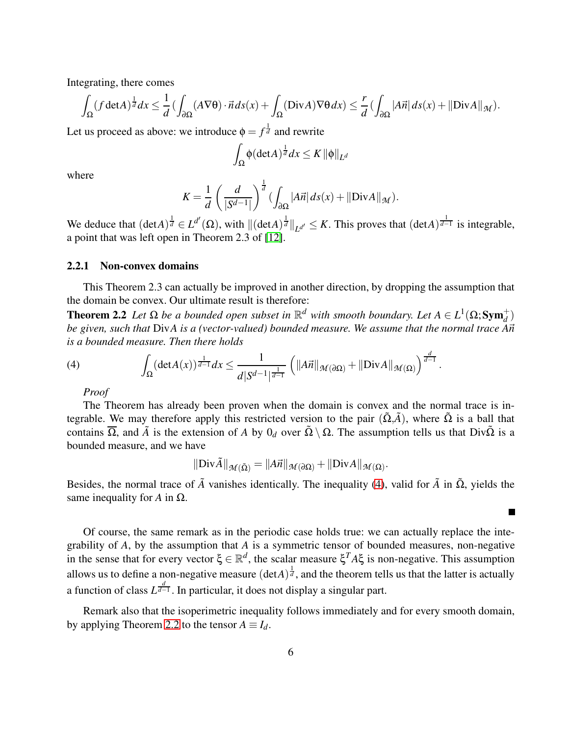Integrating, there comes

$$
\int_{\Omega} (f \det A)^{\frac{1}{d}} dx \leq \frac{1}{d} \left( \int_{\partial \Omega} (A \nabla \theta) \cdot \vec{n} ds(x) + \int_{\Omega} (Div A) \nabla \theta dx \right) \leq \frac{r}{d} \left( \int_{\partial \Omega} |A\vec{n}| ds(x) + ||Div A||_{\mathcal{M}} \right).
$$

Let us proceed as above: we introduce  $\phi = f^{\frac{1}{d}}$  and rewrite

<span id="page-5-0"></span>
$$
\int_{\Omega} \phi(\det A)^{\frac{1}{d}} dx \leq K \|\phi\|_{L^d}
$$

where

$$
K = \frac{1}{d} \left( \frac{d}{|S^{d-1}|} \right)^{\frac{1}{d}} \left( \int_{\partial \Omega} |A\vec{n}| \, ds(x) + ||\text{Div}A||_{\mathcal{M}} \right).
$$

We deduce that  $(\det A)^{\frac{1}{d}} \in L^{d'}(\Omega)$ , with  $\|(\det A)^{\frac{1}{d}}\|_{L^{d'}} \leq K$ . This proves that  $(\det A)^{\frac{1}{d-1}}$  is integrable, a point that was left open in Theorem 2.3 of [\[12\]](#page-23-0).

#### 2.2.1 Non-convex domains

This Theorem 2.3 can actually be improved in another direction, by dropping the assumption that the domain be convex. Our ultimate result is therefore:

**Theorem 2.2** Let  $\Omega$  be a bounded open subset in  $\mathbb{R}^d$  with smooth boundary. Let  $A \in L^1(\Omega; Sym_d^+)$ *d be given, such that DivA is a (vector-valued) bounded measure. We assume that the normal trace A* $\vec{n}$ *is a bounded measure. Then there holds*

(4) 
$$
\int_{\Omega} (\det A(x))^{\frac{1}{d-1}} dx \leq \frac{1}{d|S^{d-1}|^{\frac{1}{d-1}}} \left( \|A\vec{n}\|_{\mathcal{M}(\partial \Omega)} + \|Div A\|_{\mathcal{M}(\Omega)} \right)^{\frac{d}{d-1}}.
$$

<span id="page-5-1"></span>*Proof*

The Theorem has already been proven when the domain is convex and the normal trace is integrable. We may therefore apply this restricted version to the pair  $(\Omega, \tilde{A})$ , where  $\Omega$  is a ball that contains  $\overline{\Omega}$ , and  $\tilde{A}$  is the extension of *A* by  $0_d$  over  $\tilde{\Omega} \setminus \Omega$ . The assumption tells us that Div $\tilde{\Omega}$  is a bounded measure, and we have

$$
\|\text{Div}\tilde{A}\|_{\mathcal{M}(\tilde{\Omega})} = \|A\vec{n}\|_{\mathcal{M}(\partial\Omega)} + \|\text{Div}A\|_{\mathcal{M}(\Omega)}.
$$

Besides, the normal trace of  $\tilde{A}$  vanishes identically. The inequality [\(4\)](#page-5-1), valid for  $\tilde{A}$  in  $\tilde{Q}$ , yields the same inequality for *A* in  $\Omega$ .

п

Of course, the same remark as in the periodic case holds true: we can actually replace the integrability of *A*, by the assumption that *A* is a symmetric tensor of bounded measures, non-negative in the sense that for every vector  $\xi \in \mathbb{R}^d$ , the scalar measure  $\xi^T A \xi$  is non-negative. This assumption allows us to define a non-negative measure  $(\det A)^{\frac{1}{d}}$ , and the theorem tells us that the latter is actually a function of class  $L^{\frac{d}{d-1}}$ . In particular, it does not display a singular part.

Remark also that the isoperimetric inequality follows immediately and for every smooth domain, by applying Theorem [2.2](#page-5-0) to the tensor  $A \equiv I_d$ .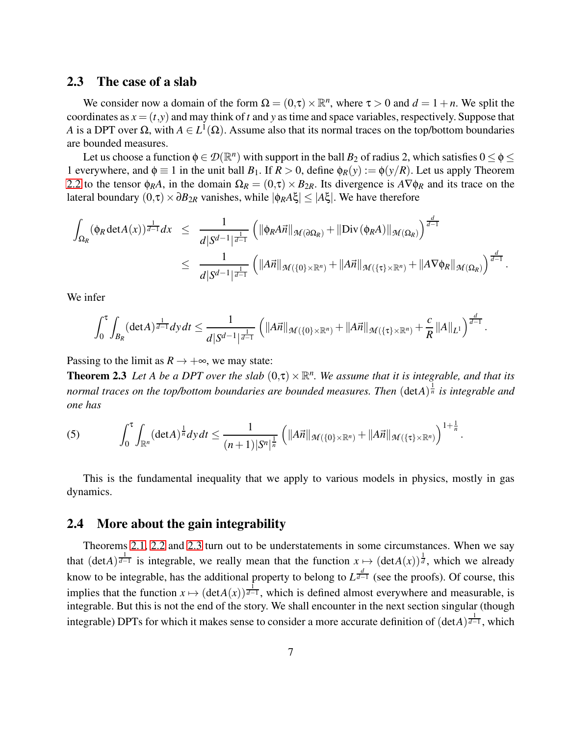#### <span id="page-6-1"></span>2.3 The case of a slab

We consider now a domain of the form  $\Omega = (0, \tau) \times \mathbb{R}^n$ , where  $\tau > 0$  and  $d = 1 + n$ . We split the coordinates as  $x = (t, y)$  and may think of *t* and *y* as time and space variables, respectively. Suppose that *A* is a DPT over  $\Omega$ , with  $A \in L^1(\Omega)$ . Assume also that its normal traces on the top/bottom boundaries are bounded measures.

Let us choose a function  $\phi \in \mathcal{D}(\mathbb{R}^n)$  with support in the ball  $B_2$  of radius 2, which satisfies  $0 \le \phi \le \phi$ 1 everywhere, and  $\phi \equiv 1$  in the unit ball  $B_1$ . If  $R > 0$ , define  $\phi_R(y) := \phi(y/R)$ . Let us apply Theorem [2.2](#page-5-0) to the tensor  $\phi_R A$ , in the domain  $\Omega_R = (0,\tau) \times B_{2R}$ . Its divergence is  $A \nabla \phi_R$  and its trace on the lateral boundary (0,τ)×∂*B*2*<sup>R</sup>* vanishes, while |φ*RA*ξ| ≤ |*A*ξ|. We have therefore

$$
\int_{\Omega_R} (\phi_R \det A(x))^{\frac{1}{d-1}} dx \leq \frac{1}{d|S^{d-1}|^{\frac{1}{d-1}}} \left( \|\phi_R A \vec{n}\|_{\mathcal{M}(\partial \Omega_R)} + \|\text{Div}(\phi_R A)\|_{\mathcal{M}(\Omega_R)} \right)^{\frac{d}{d-1}} \leq \frac{1}{d|S^{d-1}|^{\frac{1}{d-1}}} \left( \|A \vec{n}\|_{\mathcal{M}(\{0\}\times\mathbb{R}^n)} + \|A \vec{n}\|_{\mathcal{M}(\{\tau\}\times\mathbb{R}^n)} + \|A \nabla \phi_R\|_{\mathcal{M}(\Omega_R)} \right)^{\frac{d}{d-1}}.
$$

We infer

<span id="page-6-0"></span>
$$
\int_0^{\tau} \int_{B_R} (\det A)^{\frac{1}{d-1}} dy dt \leq \frac{1}{d|S^{d-1}|^{\frac{1}{d-1}}} \left( \|A\vec{n}\|_{\mathcal{M}(\{0\}\times\mathbb{R}^n)} + \|A\vec{n}\|_{\mathcal{M}(\{\tau\}\times\mathbb{R}^n)} + \frac{c}{R} \|A\|_{L^1} \right)^{\frac{d}{d-1}}.
$$

Passing to the limit as  $R \rightarrow +\infty$ , we may state:

**Theorem 2.3** Let A be a DPT over the slab  $(0, \tau) \times \mathbb{R}^n$ . We assume that it is integrable, and that its *normal traces on the top/bottom boundaries are bounded measures. Then* (det*A*) 1 *<sup>n</sup> is integrable and one has*

(5) 
$$
\int_0^{\tau} \int_{\mathbb{R}^n} (\det A)^{\frac{1}{n}} dy dt \leq \frac{1}{(n+1)|S^n|^{\frac{1}{n}}} \left( ||A\vec{n}||_{\mathcal{M}(\{0\}\times\mathbb{R}^n)} + ||A\vec{n}||_{\mathcal{M}(\{\tau\}\times\mathbb{R}^n)} \right)^{1+\frac{1}{n}}.
$$

This is the fundamental inequality that we apply to various models in physics, mostly in gas dynamics.

#### 2.4 More about the gain integrability

Theorems [2.1,](#page-3-1) [2.2](#page-5-0) and [2.3](#page-6-0) turn out to be understatements in some circumstances. When we say that  $(\text{det}A)^{\frac{1}{d-1}}$  is integrable, we really mean that the function  $x \mapsto (\text{det}A(x))^{\frac{1}{d}}$ , which we already know to be integrable, has the additional property to belong to  $L^{\frac{d}{d-1}}$  (see the proofs). Of course, this implies that the function  $x \mapsto (\det A(x))^{\frac{1}{d-1}}$ , which is defined almost everywhere and measurable, is integrable. But this is not the end of the story. We shall encounter in the next section singular (though integrable) DPTs for which it makes sense to consider a more accurate definition of  $(\det A)^{\frac{1}{d-1}}$ , which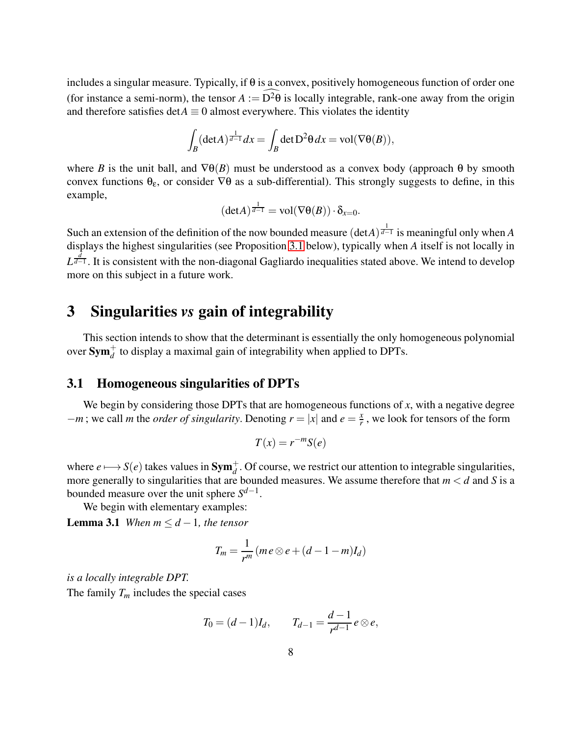includes a singular measure. Typically, if  $\theta$  is a convex, positively homogeneous function of order one (for instance a semi-norm), the tensor  $A := D^2 \theta$  is locally integrable, rank-one away from the origin and therefore satisfies  $\det A \equiv 0$  almost everywhere. This violates the identity

$$
\int_B (\det A)^{\frac{1}{d-1}} dx = \int_B \det D^2 \theta dx = \text{vol}(\nabla \theta(B)),
$$

where *B* is the unit ball, and  $\nabla \theta(B)$  must be understood as a convex body (approach  $\theta$  by smooth convex functions  $\theta_{\varepsilon}$ , or consider  $\nabla\theta$  as a sub-differential). This strongly suggests to define, in this example,

$$
(\det A)^{\frac{1}{d-1}} = \text{vol}(\nabla \theta(B)) \cdot \delta_{x=0}.
$$

Such an extension of the definition of the now bounded measure  $(\text{det}A)^{\frac{1}{d-1}}$  is meaningful only when *A* displays the highest singularities (see Proposition [3.1](#page-8-0) below), typically when *A* itself is not locally in *L*<sup> $\frac{d}{d-1}$ . It is consistent with the non-diagonal Gagliardo inequalities stated above. We intend to develop</sup> more on this subject in a future work.

# <span id="page-7-0"></span>3 Singularities *vs* gain of integrability

This section intends to show that the determinant is essentially the only homogeneous polynomial over  $\textbf{Sym}_d^+$  to display a maximal gain of integrability when applied to DPTs.

# 3.1 Homogeneous singularities of DPTs

We begin by considering those DPTs that are homogeneous functions of *x*, with a negative degree  $-\frac{m}{r}$ ; we call *m* the *order of singularity*. Denoting  $r = |x|$  and  $e = \frac{x}{r}$  $\frac{x}{r}$ , we look for tensors of the form

$$
T(x) = r^{-m}S(e)
$$

where  $e \mapsto S(e)$  takes values in  $Sym_d^+$ . Of course, we restrict our attention to integrable singularities, more generally to singularities that are bounded measures. We assume therefore that *m* < *d* and *S* is a bounded measure over the unit sphere *S d*−1 .

We begin with elementary examples:

**Lemma 3.1** *When*  $m \leq d-1$ *, the tensor* 

$$
T_m = \frac{1}{r^m} (me \otimes e + (d - 1 - m)I_d)
$$

*is a locally integrable DPT.*

The family  $T_m$  includes the special cases

$$
T_0 = (d-1)I_d
$$
,  $T_{d-1} = \frac{d-1}{r^{d-1}}e \otimes e$ ,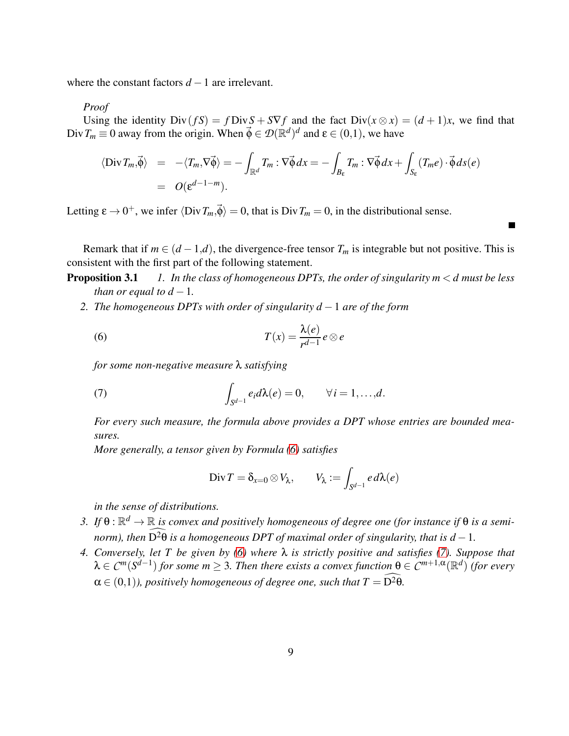where the constant factors  $d-1$  are irrelevant.

#### *Proof*

Using the identity  $Div(fS) = fDivS + S\nabla f$  and the fact  $Div(x \otimes x) = (d+1)x$ , we find that  $Div T_m \equiv 0$  away from the origin. When  $\vec{\phi} \in \mathcal{D}(\mathbb{R}^d)^d$  and  $\varepsilon \in (0,1)$ , we have

$$
\langle \text{Div } T_m, \vec{\phi} \rangle = -\langle T_m, \nabla \vec{\phi} \rangle = -\int_{\mathbb{R}^d} T_m : \nabla \vec{\phi} \, dx = -\int_{B_\varepsilon} T_m : \nabla \vec{\phi} \, dx + \int_{S_\varepsilon} (T_m e) \cdot \vec{\phi} \, ds(e)
$$
  
=  $O(\varepsilon^{d-1-m}).$ 

Letting  $\epsilon \to 0^+$ , we infer  $\langle Div T_m,\vec{\phi}\rangle = 0$ , that is Div $T_m = 0$ , in the distributional sense.

Remark that if  $m \in (d-1,d)$ , the divergence-free tensor  $T_m$  is integrable but not positive. This is consistent with the first part of the following statement.

**Proposition 3.1** *1. In the class of homogeneous DPTs, the order of singularity*  $m < d$  *must be less than or equal to*  $d-1$ *.* 

*2. The homogeneous DPTs with order of singularity d* −1 *are of the form*

<span id="page-8-0"></span>(6) 
$$
T(x) = \frac{\lambda(e)}{r^{d-1}} e \otimes e
$$

*for some non-negative measure* λ *satisfying*

(7) 
$$
\int_{S^{d-1}} e_i d\lambda(e) = 0, \qquad \forall i = 1, ..., d.
$$

*For every such measure, the formula above provides a DPT whose entries are bounded measures.*

*More generally, a tensor given by Formula [\(6\)](#page-8-1) satisfies*

<span id="page-8-2"></span><span id="page-8-1"></span>
$$
\operatorname{Div} T = \delta_{x=0} \otimes V_{\lambda}, \qquad V_{\lambda} := \int_{S^{d-1}} e \, d\lambda(e)
$$

*in the sense of distributions.*

- 3. If  $\theta$  :  $\mathbb{R}^d \to \mathbb{R}$  is convex and positively homogeneous of degree one (for instance if  $\theta$  is a semi*norm), then*  $\overline{D^2\theta}$  *is a homogeneous DPT of maximal order of singularity, that is*  $d-1$ *.*
- *4. Conversely, let T be given by [\(6\)](#page-8-1) where* λ *is strictly positive and satisfies [\(7\)](#page-8-2). Suppose that*  $\lambda \in C^m(S^{d-1})$  for some  $m \geq 3$ . Then there exists a convex function  $\theta \in C^{m+1,\alpha}(\mathbb{R}^d)$  (for every  $\alpha \in (0,1)$ *), positively homogeneous of degree one, such that*  $T = \widehat{D^2 \theta}$ *.*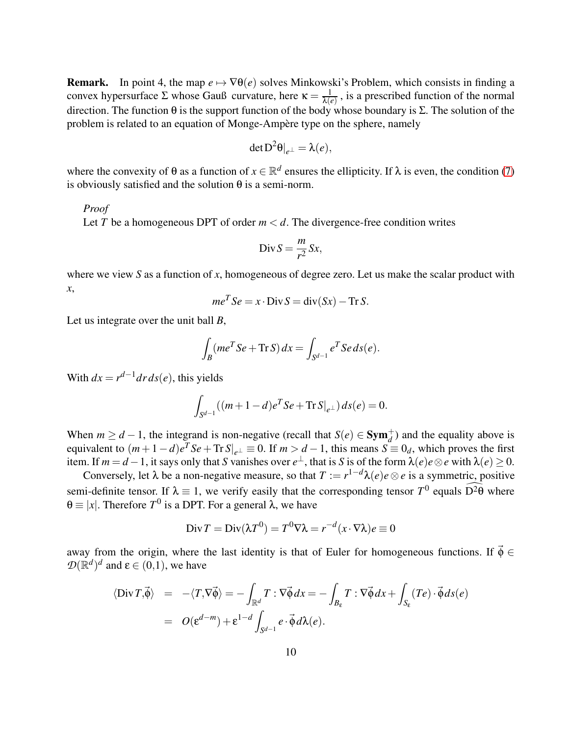**Remark.** In point 4, the map  $e \mapsto \nabla \theta(e)$  solves Minkowski's Problem, which consists in finding a convex hypersurface  $\Sigma$  whose Gauß curvature, here  $\kappa = \frac{1}{\lambda}$  $\frac{1}{\lambda(e)}$ , is a prescribed function of the normal direction. The function θ is the support function of the body whose boundary is Σ. The solution of the problem is related to an equation of Monge-Ampère type on the sphere, namely

$$
\det \mathbf{D}^2 \theta|_{e^{\perp}} = \lambda(e),
$$

where the convexity of  $\theta$  as a function of  $x \in \mathbb{R}^d$  ensures the ellipticity. If  $\lambda$  is even, the condition [\(7\)](#page-8-2) is obviously satisfied and the solution  $\theta$  is a semi-norm.

#### *Proof*

Let *T* be a homogeneous DPT of order  $m < d$ . The divergence-free condition writes

$$
Div S = \frac{m}{r^2} S x,
$$

where we view *S* as a function of *x*, homogeneous of degree zero. Let us make the scalar product with *x*,

$$
me^T Se = x \cdot \text{Div} S = \text{div}(Sx) - \text{Tr} S.
$$

Let us integrate over the unit ball *B*,

$$
\int_B (me^T Se + \text{Tr} S) dx = \int_{S^{d-1}} e^T Se ds(e).
$$

With  $dx = r^{d-1}dr ds(e)$ , this yields

$$
\int_{S^{d-1}} ((m+1-d)e^{T}Se + \text{Tr} S|_{e^{\perp}}) ds(e) = 0.
$$

When  $m \geq d-1$ , the integrand is non-negative (recall that  $S(e) \in \text{Sym}_d^+$ ) and the equality above is equivalent to  $(m+1-d)e^T Se + \text{Tr } S|_{e^{\perp}} \equiv 0$ . If  $m > d-1$ , this means  $S = 0_d$ , which proves the first item. If  $m = d - 1$ , it says only that *S* vanishes over  $e^{\perp}$ , that is *S* is of the form  $\lambda(e)e \otimes e$  with  $\lambda(e) \ge 0$ .

Conversely, let  $\lambda$  be a non-negative measure, so that  $T := r^{1-d}\lambda(e)e \otimes e$  is a symmetric, positive semi-definite tensor. If  $\lambda \equiv 1$ , we verify easily that the corresponding tensor  $T^0$  equals  $D^2\theta$  where θ ≡ |*x*|. Therefore *T*<sup>0</sup> is a DPT. For a general λ, we have

$$
\text{Div}\,T = \text{Div}(\lambda T^0) = T^0 \nabla \lambda = r^{-d}(x \cdot \nabla \lambda)e \equiv 0
$$

away from the origin, where the last identity is that of Euler for homogeneous functions. If  $\vec{\phi} \in$  $\mathcal{D}(\mathbb{R}^d)^d$  and  $\boldsymbol{\varepsilon} \in (0,1)$ , we have

$$
\langle \text{Div } T, \vec{\phi} \rangle = -\langle T, \nabla \vec{\phi} \rangle = -\int_{\mathbb{R}^d} T : \nabla \vec{\phi} dx = -\int_{B_{\varepsilon}} T : \nabla \vec{\phi} dx + \int_{S_{\varepsilon}} (Te) \cdot \vec{\phi} ds(e)
$$

$$
= O(\varepsilon^{d-m}) + \varepsilon^{1-d} \int_{S^{d-1}} e \cdot \vec{\phi} d\lambda(e).
$$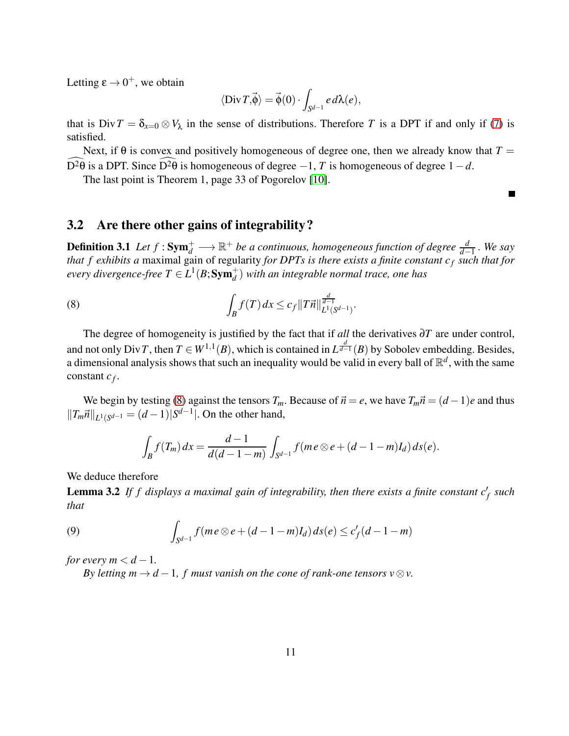Letting  $\varepsilon \to 0^+$ , we obtain

$$
\langle \text{Div}\,T, \vec{\phi}\rangle = \vec{\phi}(0) \cdot \int_{S^{d-1}} e \, d\lambda(e),
$$

that is  $Div T = \delta_{x=0} \otimes V_\lambda$  in the sense of distributions. Therefore T is a DPT if and only if [\(7\)](#page-8-2) is satisfied.

Next, if  $\theta$  is convex and positively homogeneous of degree one, then we already know that  $T =$ D<sup>2</sup> $\theta$  is a DPT. Since D<sup>2</sup> $\theta$  is homogeneous of degree  $-1$ , *T* is homogeneous of degree  $1-d$ .

 $\blacksquare$ 

The last point is Theorem 1, page 33 of Pogorelov [\[10\]](#page-23-4).

### 3.2 Are there other gains of integrability?

**Definition 3.1** Let  $f : Sym_d^+ \longrightarrow \mathbb{R}^+$  be a continuous, homogeneous function of degree  $\frac{d}{d-1}$ . We say *d*−1 *that f exhibits a* maximal gain of regularity *for DPTs is there exists a finite constant c<sup>f</sup> such that for*  $e$ very divergence-free  $T \in L^1(B; \mathbf{Sym}_d^+)$  with an integrable normal trace, one has

<span id="page-10-0"></span>(8) 
$$
\int_B f(T) dx \leq c_f \|T\vec{n}\|_{L^1(S^{d-1})}^{\frac{d}{d-1}}.
$$

The degree of homogeneity is justified by the fact that if *all* the derivatives ∂*T* are under control, and not only Div*T*, then  $T \in W^{1,1}(B)$ , which is contained in  $L^{\frac{d}{d-1}}(B)$  by Sobolev embedding. Besides, a dimensional analysis shows that such an inequality would be valid in every ball of  $\mathbb{R}^d$ , with the same constant *c<sup>f</sup>* .

We begin by testing [\(8\)](#page-10-0) against the tensors  $T_m$ . Because of  $\vec{n} = e$ , we have  $T_m \vec{n} = (d-1)e$  and thus  $||T_m \vec{n}||_{L^1(S^{d-1})} = (d-1)|S^{d-1}|$ . On the other hand,

<span id="page-10-1"></span>
$$
\int_B f(T_m) dx = \frac{d-1}{d(d-1-m)} \int_{S^{d-1}} f(m e \otimes e + (d-1-m)I_d) ds(e).
$$

We deduce therefore

Lemma 3.2 *If f displays a maximal gain of integrability, then there exists a finite constant c*′ *f such that*

(9) 
$$
\int_{S^{d-1}} f(m e \otimes e + (d-1-m)I_d) ds(e) \leq c'_f(d-1-m)
$$

*for every m*  $\lt d-1$ .

*By letting m*  $\rightarrow$  *d* − 1*, f must vanish on the cone of rank-one tensors v*  $\otimes$ *v.*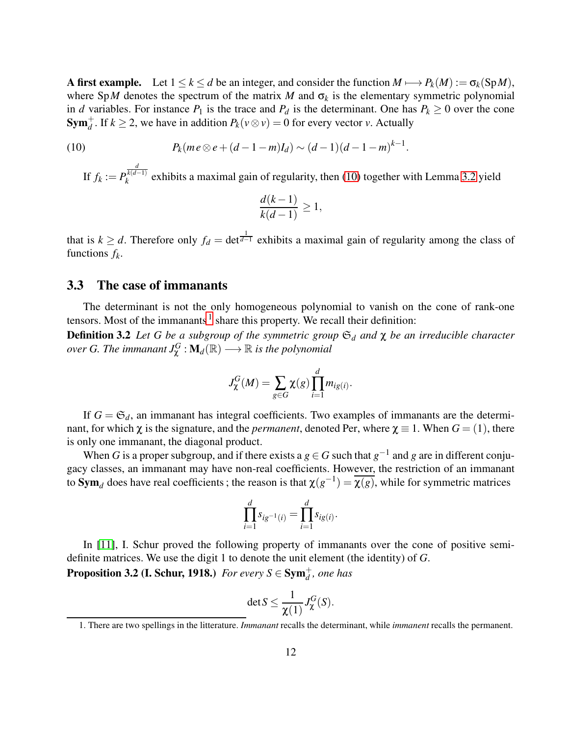A first example. Let  $1 \le k \le d$  be an integer, and consider the function  $M \longmapsto P_k(M) := \sigma_k(\text{Sp }M)$ , where SpM denotes the spectrum of the matrix M and  $\sigma_k$  is the elementary symmetric polynomial in *d* variables. For instance  $P_1$  is the trace and  $P_d$  is the determinant. One has  $P_k \geq 0$  over the cone **Sym**<sup> $+$ </sup><sub>*d*</sub>. If  $k \ge 2$ , we have in addition  $P_k(v \otimes v) = 0$  for every vector *v*. Actually

(10) 
$$
P_k(me \otimes e + (d-1-m)I_d) \sim (d-1)(d-1-m)^{k-1}.
$$

<span id="page-11-0"></span>If  $f_k := P$ *d k*(*d*−1)  $\kappa_k^{k(d-1)}$  exhibits a maximal gain of regularity, then [\(10\)](#page-11-0) together with Lemma [3.2](#page-10-1) yield

$$
\frac{d(k-1)}{k(d-1)} \ge 1,
$$

that is  $k \ge d$ . Therefore only  $f_d = \det^{\frac{1}{d-1}}$  exhibits a maximal gain of regularity among the class of functions *f<sup>k</sup>* .

# 3.3 The case of immanants

The determinant is not the only homogeneous polynomial to vanish on the cone of rank-one tensors. Most of the immanants  $<sup>1</sup>$  $<sup>1</sup>$  $<sup>1</sup>$  share this property. We recall their definition:</sup> Definition 3.2 *Let G be a subgroup of the symmetric group* S*<sup>d</sup> and* χ *be an irreducible character*  $\overline{\overline{\phi}}$  *over G. The immanant*  $J^G_\chi$  :  $\mathbf{M}_d(\mathbb{R}) \longrightarrow \mathbb{R}$  *is the polynomial* 

$$
J^G_{\chi}(M) = \sum_{g \in G} \chi(g) \prod_{i=1}^d m_{ig(i)}.
$$

If  $G = \mathfrak{S}_d$ , an immanant has integral coefficients. Two examples of immanants are the determinant, for which  $\chi$  is the signature, and the *permanent*, denoted Per, where  $\chi \equiv 1$ . When  $G = (1)$ , there is only one immanant, the diagonal product.

When *G* is a proper subgroup, and if there exists a  $g \in G$  such that  $g^{-1}$  and  $g$  are in different conjugacy classes, an immanant may have non-real coefficients. However, the restriction of an immanant to  $Sym_d$  does have real coefficients; the reason is that  $\chi(g^{-1}) = \overline{\chi(g)}$ , while for symmetric matrices

$$
\prod_{i=1}^d s_{ig^{-1}(i)} = \prod_{i=1}^d s_{ig(i)}.
$$

In [\[11\]](#page-23-5), I. Schur proved the following property of immanants over the cone of positive semidefinite matrices. We use the digit 1 to denote the unit element (the identity) of *G*.

**Proposition 3.2 (I. Schur, 1918.)** *For every*  $S \in \mathbf{Sym}_d^+$ *, one has* 

$$
\det S \leq \frac{1}{\chi(1)} J^G_{\chi}(S).
$$

<span id="page-11-1"></span><sup>1.</sup> There are two spellings in the litterature. *Immanant* recalls the determinant, while *immanent* recalls the permanent.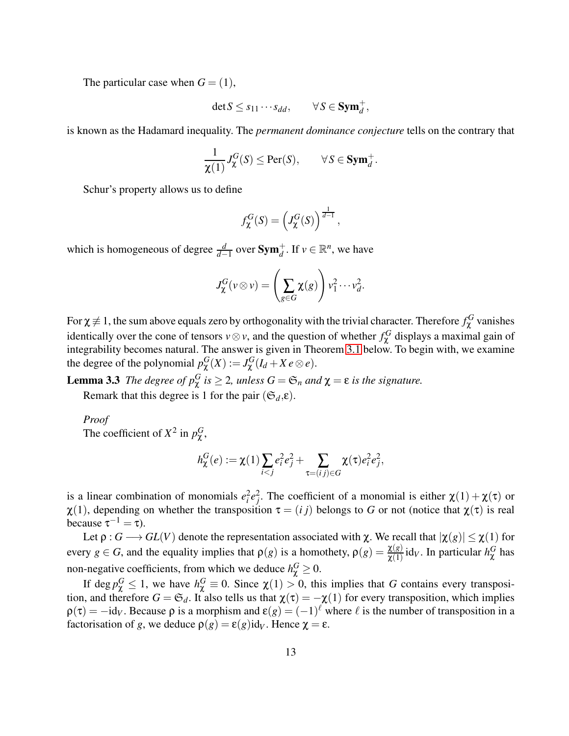The particular case when  $G = (1)$ ,

$$
\det S \leq s_{11} \cdots s_{dd}, \qquad \forall S \in \mathbf{Sym}_d^+,
$$

is known as the Hadamard inequality. The *permanent dominance conjecture* tells on the contrary that

$$
\frac{1}{\chi(1)} J^G_{\chi}(S) \leq \text{Per}(S), \qquad \forall S \in \text{Sym}_d^+.
$$

Schur's property allows us to define

$$
f_{\chi}^{G}(S) = \left(J_{\chi}^{G}(S)\right)^{\frac{1}{d-1}},
$$

which is homogeneous of degree  $\frac{d}{d-1}$  over  $\text{Sym}_d^+$ . If  $v \in \mathbb{R}^n$ , we have

<span id="page-12-0"></span>
$$
J_{\chi}^{G}(v \otimes v) = \left(\sum_{g \in G} \chi(g)\right) v_1^2 \cdots v_d^2.
$$

For  $\chi\not\equiv 1$ , the sum above equals zero by orthogonality with the trivial character. Therefore  $f^G_\chi$  vanishes identically over the cone of tensors *v*⊗*v*, and the question of whether  $f^G_\chi$  displays a maximal gain of integrability becomes natural. The answer is given in Theorem [3.1](#page-13-1) below. To begin with, we examine the degree of the polynomial  $p_{\chi}^{G}(X) := J_{\chi}^{G}(I_d + X e \otimes e)$ .

**Lemma 3.3** *The degree of*  $p_{\chi}^G$  *is*  $\geq$  2*, unless*  $G = \mathfrak{S}_n$  *and*  $\chi = \varepsilon$  *is the signature.* 

Remark that this degree is 1 for the pair  $(\mathfrak{S}_d, \varepsilon)$ .

*Proof*

The coefficient of  $X^2$  in  $p_\chi^G$ ,

$$
h_{\chi}^{G}(e) := \chi(1) \sum_{i < j} e_i^2 e_j^2 + \sum_{\tau = (i, j) \in G} \chi(\tau) e_i^2 e_j^2,
$$

is a linear combination of monomials  $e_i^2 e_j^2$ . The coefficient of a monomial is either  $\chi(1) + \chi(\tau)$  or  $\chi(1)$ , depending on whether the transposition  $\tau = (i j)$  belongs to *G* or not (notice that  $\chi(\tau)$  is real because  $\tau^{-1} = \tau$ ).

Let  $\rho: G \longrightarrow GL(V)$  denote the representation associated with  $\chi$ . We recall that  $|\chi(g)| \leq \chi(1)$  for every  $g \in G$ , and the equality implies that  $\rho(g)$  is a homothety,  $\rho(g) = \frac{\chi(g)}{\chi(1)}$  id<sub>*V*</sub>. In particular  $h_\chi^G$  has non-negative coefficients, from which we deduce  $h_{\chi}^G \geq 0$ .

If deg  $p_\chi^G \le 1$ , we have  $h_\chi^G \equiv 0$ . Since  $\chi(1) > 0$ , this implies that *G* contains every transposition, and therefore  $G = \mathfrak{S}_d$ . It also tells us that  $\chi(\tau) = -\chi(1)$  for every transposition, which implies  $\rho(\tau) = -i d_V$ . Because  $\rho$  is a morphism and  $\varepsilon(g) = (-1)^{\ell}$  where  $\ell$  is the number of transposition in a factorisation of *g*, we deduce  $\rho(g) = \varepsilon(g) \mathrm{id}_V$ . Hence  $\chi = \varepsilon$ .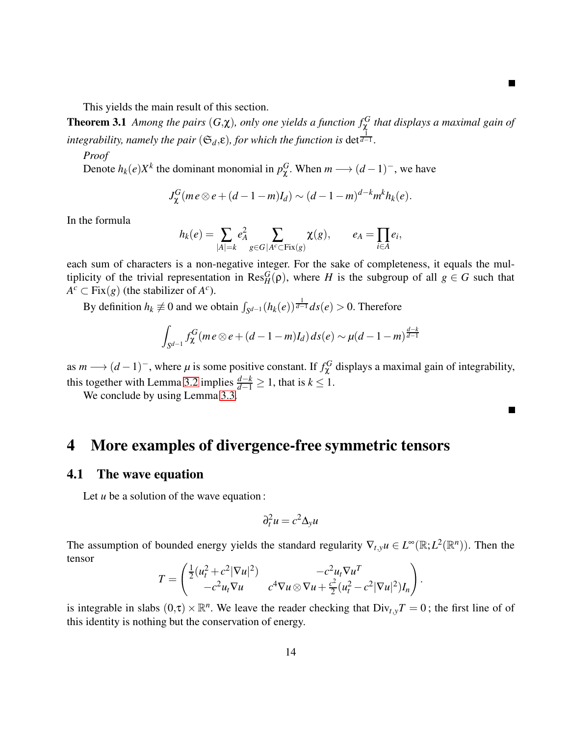This yields the main result of this section.

**Theorem 3.1** Among the pairs  $(G,\chi)$ , only one yields a function  $f^G_\chi$  that displays a maximal gain of  $\tilde{a}$  *integrability, namely the pair* ( $\mathfrak{S}_d$ , $\varepsilon$ )*, for which the function is* det $\frac{1}{d-1}$ *.* 

#### *Proof*

Denote  $h_k(e)X^k$  the dominant monomial in  $p_{\chi}^G$ . When  $m \longrightarrow (d-1)^-$ , we have

<span id="page-13-1"></span>
$$
J_{\chi}^G(m e \otimes e + (d-1-m)I_d) \sim (d-1-m)^{d-k} m^k h_k(e).
$$

In the formula

$$
h_k(e) = \sum_{|A|=k} e_A^2 \sum_{g \in G | A^c \subset \text{Fix}(g)} \chi(g), \qquad e_A = \prod_{i \in A} e_i,
$$

each sum of characters is a non-negative integer. For the sake of completeness, it equals the multiplicity of the trivial representation in  $\text{Res}_{H}^{G}(\rho)$ , where *H* is the subgroup of all  $g \in G$  such that  $A^c \subset Fix(g)$  (the stabilizer of  $A^c$ ).

By definition  $h_k \not\equiv 0$  and we obtain  $\int_{S^{d-1}} (h_k(e))^{\frac{1}{d-1}} ds(e) > 0$ . Therefore

$$
\int_{S^{d-1}} f_{\chi}^G (m e \otimes e + (d-1-m)I_d) ds(e) \sim \mu(d-1-m)^{\frac{d-k}{d-1}}
$$

as  $m \rightarrow (d-1)^{-}$ , where  $\mu$  is some positive constant. If  $f_{\chi}^{G}$  displays a maximal gain of integrability, this together with Lemma [3.2](#page-10-1) implies  $\frac{d-k}{d-1} \geq 1$ , that is  $k \leq 1$ .

 $\blacksquare$ 

We conclude by using Lemma [3.3.](#page-12-0)

# <span id="page-13-0"></span>4 More examples of divergence-free symmetric tensors

#### 4.1 The wave equation

Let *u* be a solution of the wave equation:

$$
\partial_t^2 u = c^2 \Delta_y u
$$

The assumption of bounded energy yields the standard regularity  $\nabla_{t,y} u \in L^{\infty}(\mathbb{R};L^2(\mathbb{R}^n))$ . Then the tensor

$$
T = \begin{pmatrix} \frac{1}{2} (u_t^2 + c^2 |\nabla u|^2) & -c^2 u_t \nabla u^T \\ -c^2 u_t \nabla u & c^4 \nabla u \otimes \nabla u + \frac{c^2}{2} (u_t^2 - c^2 |\nabla u|^2) I_n \end{pmatrix}.
$$

is integrable in slabs  $(0,\tau) \times \mathbb{R}^n$ . We leave the reader checking that  $Div_{t,y}T = 0$ ; the first line of of this identity is nothing but the conservation of energy.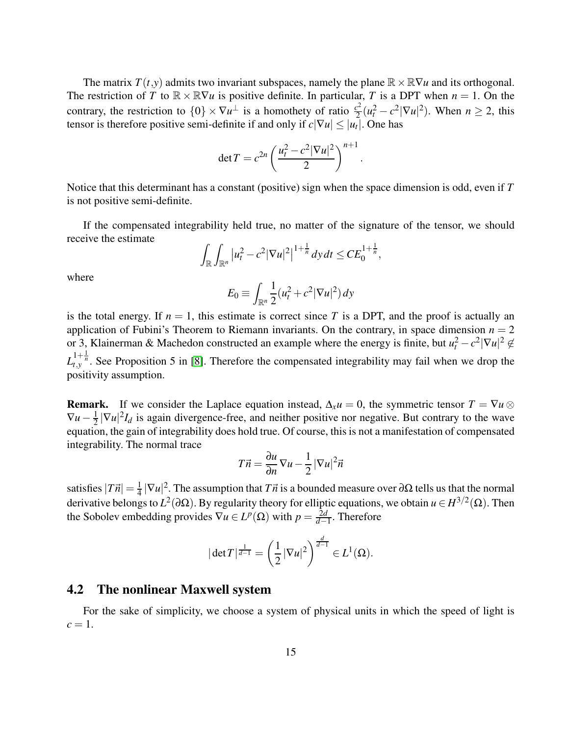The matrix  $T(t, y)$  admits two invariant subspaces, namely the plane  $\mathbb{R} \times \mathbb{R} \nabla u$  and its orthogonal. The restriction of *T* to  $\mathbb{R} \times \mathbb{R} \nabla u$  is positive definite. In particular, *T* is a DPT when  $n = 1$ . On the contrary, the restriction to  $\{0\} \times \nabla u^{\perp}$  is a homothety of ratio  $\frac{c^2}{2}$  $\frac{c^2}{2}(u_t^2 - c^2|\nabla u|^2)$ . When  $n \ge 2$ , this tensor is therefore positive semi-definite if and only if  $c|\nabla u| \leq |u_t|$ . One has

$$
\det T = c^{2n} \left( \frac{u_t^2 - c^2 |\nabla u|^2}{2} \right)^{n+1}.
$$

Notice that this determinant has a constant (positive) sign when the space dimension is odd, even if *T* is not positive semi-definite.

If the compensated integrability held true, no matter of the signature of the tensor, we should receive the estimate

$$
\int_{\mathbb{R}}\int_{\mathbb{R}^n}|u_t^2-c^2|\nabla u|^2|^{1+\frac{1}{n}}dydt\leq CE_0^{1+\frac{1}{n}},
$$

where

$$
E_0 \equiv \int_{\mathbb{R}^n} \frac{1}{2} (u_t^2 + c^2 |\nabla u|^2) \, dy
$$

is the total energy. If  $n = 1$ , this estimate is correct since T is a DPT, and the proof is actually an application of Fubini's Theorem to Riemann invariants. On the contrary, in space dimension  $n = 2$ or 3, Klainerman & Machedon constructed an example where the energy is finite, but  $u_t^2 - c^2 |\nabla u|^2 \notin$  $L_{t,y}^{1+\frac{1}{n}}$ . See Proposition 5 in [\[8\]](#page-23-6). Therefore the compensated integrability may fail when we drop the positivity assumption.

**Remark.** If we consider the Laplace equation instead,  $\Delta_x u = 0$ , the symmetric tensor  $T = \nabla u \otimes$  $\nabla u - \frac{1}{2}$  $\frac{1}{2}|\nabla u|^2 I_d$  is again divergence-free, and neither positive nor negative. But contrary to the wave equation, the gain of integrability does hold true. Of course, this is not a manifestation of compensated integrability. The normal trace

$$
T\vec{n} = \frac{\partial u}{\partial n} \nabla u - \frac{1}{2} |\nabla u|^2 \vec{n}
$$

satisfies  $|T\vec{n}| = \frac{1}{4}$  $\frac{1}{4} |\nabla u|^2$ . The assumption that *T* $\vec{n}$  is a bounded measure over ∂Ω tells us that the normal derivative belongs to  $L^2(\partial\Omega)$ . By regularity theory for elliptic equations, we obtain  $u \in H^{3/2}(\Omega)$ . Then the Sobolev embedding provides  $\nabla u \in L^p(\Omega)$  with  $p = \frac{2d}{d-1}$ *d*−1 . Therefore

$$
|\det T|^{\frac{1}{d-1}} = \left(\frac{1}{2}|\nabla u|^2\right)^{\frac{d}{d-1}} \in L^1(\Omega).
$$

### 4.2 The nonlinear Maxwell system

For the sake of simplicity, we choose a system of physical units in which the speed of light is  $c=1$ .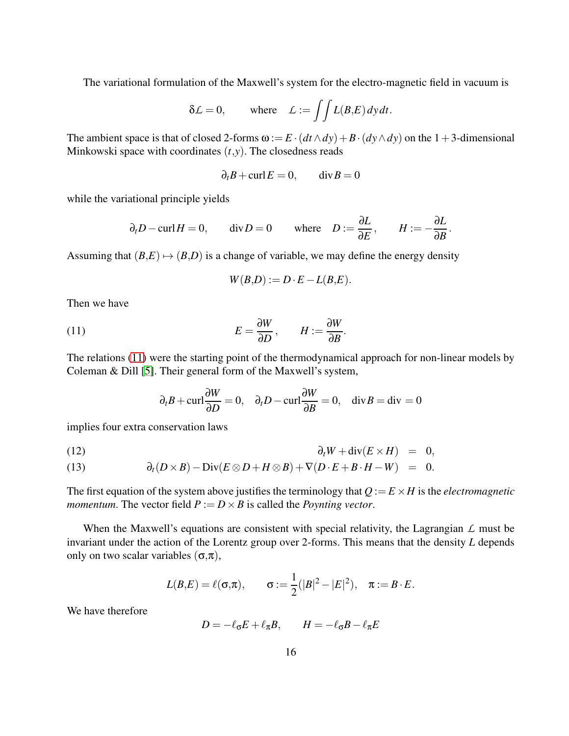The variational formulation of the Maxwell's system for the electro-magnetic field in vacuum is

$$
\delta \mathcal{L} = 0, \quad \text{where} \quad \mathcal{L} := \iint L(B, E) \, dy \, dt.
$$

The ambient space is that of closed 2-forms  $\omega := E \cdot (dt \wedge dy) + B \cdot (dy \wedge dy)$  on the 1+3-dimensional Minkowski space with coordinates (*t*,*y*). The closedness reads

$$
\partial_t B + \text{curl} E = 0, \qquad \text{div} B = 0
$$

while the variational principle yields

$$
\partial_t D - \text{curl} H = 0
$$
,  $\text{div} D = 0$  where  $D := \frac{\partial L}{\partial E}$ ,  $H := -\frac{\partial L}{\partial B}$ .

Assuming that  $(B,E) \mapsto (B,D)$  is a change of variable, we may define the energy density

<span id="page-15-0"></span>
$$
W(B,D) := D \cdot E - L(B,E).
$$

Then we have

(11) 
$$
E = \frac{\partial W}{\partial D}, \qquad H := \frac{\partial W}{\partial B}.
$$

The relations [\(11\)](#page-15-0) were the starting point of the thermodynamical approach for non-linear models by Coleman & Dill [\[5\]](#page-23-7). Their general form of the Maxwell's system,

<span id="page-15-1"></span>
$$
\partial_t B + \text{curl} \frac{\partial W}{\partial D} = 0
$$
,  $\partial_t D - \text{curl} \frac{\partial W}{\partial B} = 0$ ,  $\text{div } B = \text{div} = 0$ 

implies four extra conservation laws

$$
\partial_t W + \operatorname{div}(E \times H) = 0,
$$

(13) 
$$
\partial_t (D \times B) - \text{Div}(E \otimes D + H \otimes B) + \nabla (D \cdot E + B \cdot H - W) = 0.
$$

The first equation of the system above justifies the terminology that  $Q := E \times H$  is the *electromagnetic momentum*. The vector field  $P := D \times B$  is called the *Poynting vector*.

When the Maxwell's equations are consistent with special relativity, the Lagrangian *L* must be invariant under the action of the Lorentz group over 2-forms. This means that the density *L* depends only on two scalar variables  $(\sigma, \pi)$ ,

$$
L(B,E) = \ell(\sigma,\pi),
$$
  $\sigma := \frac{1}{2}(|B|^2 - |E|^2),$   $\pi := B \cdot E.$ 

We have therefore

$$
D=-\ell_\sigma E+\ell_\pi B,\qquad H=-\ell_\sigma B-\ell_\pi E
$$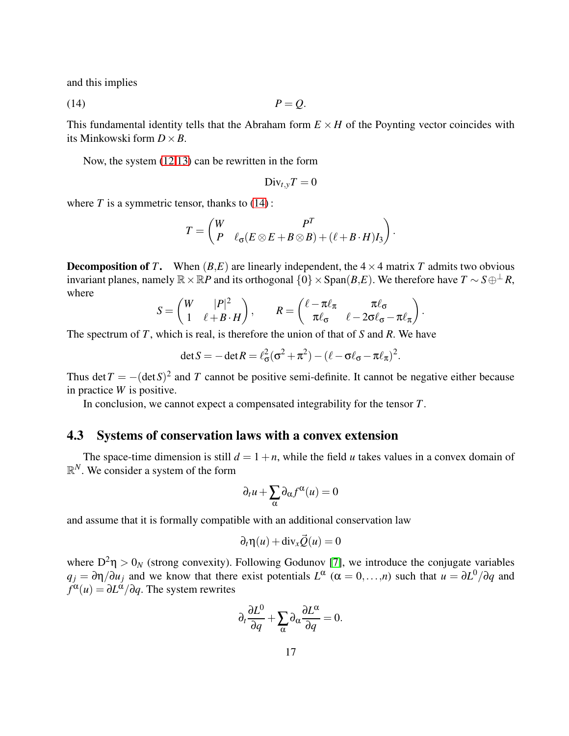and this implies

$$
(14) \t\t\t P = Q.
$$

This fundamental identity tells that the Abraham form  $E \times H$  of the Poynting vector coincides with its Minkowski form  $D \times B$ .

Now, the system [\(12,13\)](#page-15-1) can be rewritten in the form

<span id="page-16-0"></span>
$$
\mathrm{Div}_{t,y} T = 0
$$

where  $T$  is a symmetric tensor, thanks to  $(14)$ :

$$
T = \begin{pmatrix} W & P^T \\ P & \ell_{\sigma}(E \otimes E + B \otimes B) + (\ell + B \cdot H)I_3 \end{pmatrix}.
$$

**Decomposition of** *T***.** When  $(B,E)$  are linearly independent, the  $4 \times 4$  matrix *T* admits two obvious invariant planes, namely  $\mathbb{R} \times \mathbb{R}P$  and its orthogonal  $\{0\} \times \text{Span}(B, E)$ . We therefore have  $T \sim S \oplus \perp R$ , where

$$
S = \begin{pmatrix} W & |P|^2 \\ 1 & \ell + B \cdot H \end{pmatrix}, \qquad R = \begin{pmatrix} \ell - \pi \ell_{\pi} & \pi \ell_{\sigma} \\ \pi \ell_{\sigma} & \ell - 2\sigma \ell_{\sigma} - \pi \ell_{\pi} \end{pmatrix}.
$$

The spectrum of *T*, which is real, is therefore the union of that of *S* and *R*. We have

$$
\det S = -\det R = \ell_{\sigma}^2(\sigma^2 + \pi^2) - (\ell - \sigma \ell_{\sigma} - \pi \ell_{\pi})^2.
$$

Thus det  $T = -(\det S)^2$  and T cannot be positive semi-definite. It cannot be negative either because in practice *W* is positive.

In conclusion, we cannot expect a compensated integrability for the tensor *T*.

### 4.3 Systems of conservation laws with a convex extension

The space-time dimension is still  $d = 1 + n$ , while the field *u* takes values in a convex domain of  $\mathbb{R}^N$ . We consider a system of the form

$$
\partial_t u + \sum_{\alpha} \partial_{\alpha} f^{\alpha}(u) = 0
$$

and assume that it is formally compatible with an additional conservation law

$$
\partial_t \eta(u) + \mathrm{div}_x \vec{Q}(u) = 0
$$

where  $D^2\eta > 0_N$  (strong convexity). Following Godunov [\[7\]](#page-23-8), we introduce the conjugate variables  $q_j = \partial \eta / \partial u_j$  and we know that there exist potentials  $L^{\alpha}$  ( $\alpha = 0,...,n$ ) such that  $u = \partial L^0 / \partial q$  and  $f^{\alpha}(u) = \partial L^{\dot{\alpha}}/\partial q$ . The system rewrites

$$
\partial_t \frac{\partial L^0}{\partial q} + \sum_{\alpha} \partial_{\alpha} \frac{\partial L^{\alpha}}{\partial q} = 0.
$$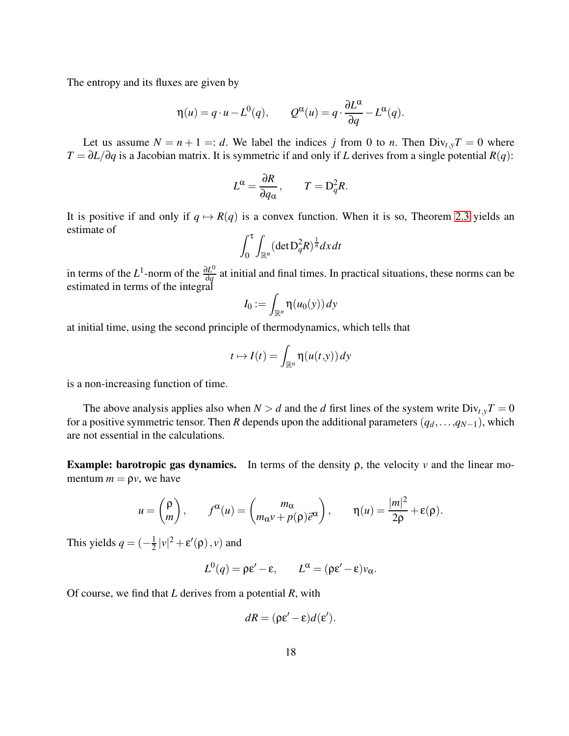The entropy and its fluxes are given by

$$
\eta(u) = q \cdot u - L^{0}(q), \qquad Q^{\alpha}(u) = q \cdot \frac{\partial L^{\alpha}}{\partial q} - L^{\alpha}(q).
$$

Let us assume  $N = n + 1 =: d$ . We label the indices *j* from 0 to *n*. Then  $Div_{t,y}T = 0$  where *T* = ∂*L*/∂*q* is a Jacobian matrix. It is symmetric if and only if *L* derives from a single potential *R*(*q*):

$$
L^{\alpha} = \frac{\partial R}{\partial q_{\alpha}}, \qquad T = D_q^2 R.
$$

It is positive if and only if  $q \mapsto R(q)$  is a convex function. When it is so, Theorem [2.3](#page-6-0) yields an estimate of

$$
\int_0^{\tau} \int_{\mathbb{R}^n} (\det \mathbf{D}_q^2 R)^{\frac{1}{n}} dx dt
$$

in terms of the  $L^1$ -norm of the  $\frac{\partial L^0}{\partial q}$  $\frac{\partial L^{\circ}}{\partial q}$  at initial and final times. In practical situations, these norms can be estimated in terms of the integral

$$
I_0 := \int_{\mathbb{R}^n} \eta(u_0(y)) dy
$$

at initial time, using the second principle of thermodynamics, which tells that

$$
t \mapsto I(t) = \int_{\mathbb{R}^n} \eta(u(t,y)) dy
$$

is a non-increasing function of time.

The above analysis applies also when  $N > d$  and the *d* first lines of the system write  $Div_{t,y}T = 0$ for a positive symmetric tensor. Then *R* depends upon the additional parameters  $(q_d, \ldots, q_{N-1})$ , which are not essential in the calculations.

Example: barotropic gas dynamics. In terms of the density ρ, the velocity *v* and the linear momentum  $m = \rho v$ , we have

$$
u = \begin{pmatrix} \rho \\ m \end{pmatrix}, \qquad f^{\alpha}(u) = \begin{pmatrix} m_{\alpha} \\ m_{\alpha}v + p(\rho)\bar{e}^{\alpha} \end{pmatrix}, \qquad \eta(u) = \frac{|m|^2}{2\rho} + \varepsilon(\rho).
$$

This yields  $q = (-\frac{1}{2})$  $\frac{1}{2} |v|^2 + \varepsilon'(\rho), v)$  and

 $L^0(q) = \rho \varepsilon' - \varepsilon$ ,  $L^{\alpha} = (\rho \varepsilon' - \varepsilon) v_{\alpha}$ .

Of course, we find that *L* derives from a potential *R*, with

$$
dR = (\rho \varepsilon' - \varepsilon) d(\varepsilon').
$$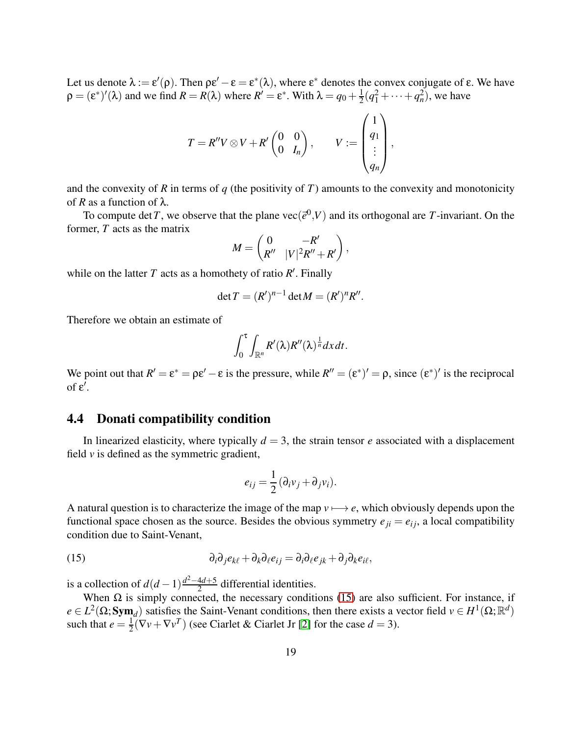Let us denote  $\lambda := \varepsilon'(\rho)$ . Then  $\rho \varepsilon' - \varepsilon = \varepsilon^*(\lambda)$ , where  $\varepsilon^*$  denotes the convex conjugate of  $\varepsilon$ . We have  $\rho = (\varepsilon^*)'(\lambda)$  and we find  $R = R(\lambda)$  where  $R' = \varepsilon^*$ . With  $\lambda = q_0 + \frac{1}{2}$  $\frac{1}{2}(q_1^2 + \dots + q_n^2)$ , we have

$$
T = R''V \otimes V + R'\begin{pmatrix} 0 & 0 \\ 0 & I_n \end{pmatrix}, \qquad V := \begin{pmatrix} 1 \\ q_1 \\ \vdots \\ q_n \end{pmatrix},
$$

and the convexity of  $R$  in terms of  $q$  (the positivity of  $T$ ) amounts to the convexity and monotonicity of *R* as a function of  $\lambda$ .

To compute det T, we observe that the plane  $\text{vec}(\vec{e}^0, V)$  and its orthogonal are T-invariant. On the former, *T* acts as the matrix

$$
M = \begin{pmatrix} 0 & -R' \\ R'' & |V|^2 R'' + R' \end{pmatrix},
$$

while on the latter  $T$  acts as a homothety of ratio  $R'$ . Finally

$$
\det T = (R')^{n-1} \det M = (R')^n R''.
$$

Therefore we obtain an estimate of

$$
\int_0^{\tau}\int_{\mathbb{R}^n}R'(\lambda)R''(\lambda)^{\frac{1}{n}}dxdt.
$$

We point out that  $R' = \varepsilon^* = \rho \varepsilon' - \varepsilon$  is the pressure, while  $R'' = (\varepsilon^*)' = \rho$ , since  $(\varepsilon^*)'$  is the reciprocal of  $ε'$ .

### 4.4 Donati compatibility condition

In linearized elasticity, where typically  $d = 3$ , the strain tensor *e* associated with a displacement field  $\nu$  is defined as the symmetric gradient,

<span id="page-18-0"></span>
$$
e_{ij} = \frac{1}{2} \left( \partial_i v_j + \partial_j v_i \right).
$$

A natural question is to characterize the image of the map  $v \mapsto e$ , which obviously depends upon the functional space chosen as the source. Besides the obvious symmetry  $e_{ji} = e_{ij}$ , a local compatibility condition due to Saint-Venant,

(15) 
$$
\partial_i \partial_j e_{k\ell} + \partial_k \partial_\ell e_{ij} = \partial_i \partial_\ell e_{jk} + \partial_j \partial_k e_{i\ell},
$$

is a collection of  $d(d-1)\frac{d^2-4d+5}{2}$  $\frac{4d+5}{2}$  differential identities.

When  $\Omega$  is simply connected, the necessary conditions [\(15\)](#page-18-0) are also sufficient. For instance, if  $e \in L^2(\Omega; \text{Sym}_d)$  satisfies the Saint-Venant conditions, then there exists a vector field  $v \in H^1(\Omega; \mathbb{R}^d)$ such that  $e = \frac{1}{2}$  $\frac{1}{2}(\nabla v + \nabla v^T)$  (see Ciarlet & Ciarlet Jr [\[2\]](#page-22-0) for the case  $d = 3$ ).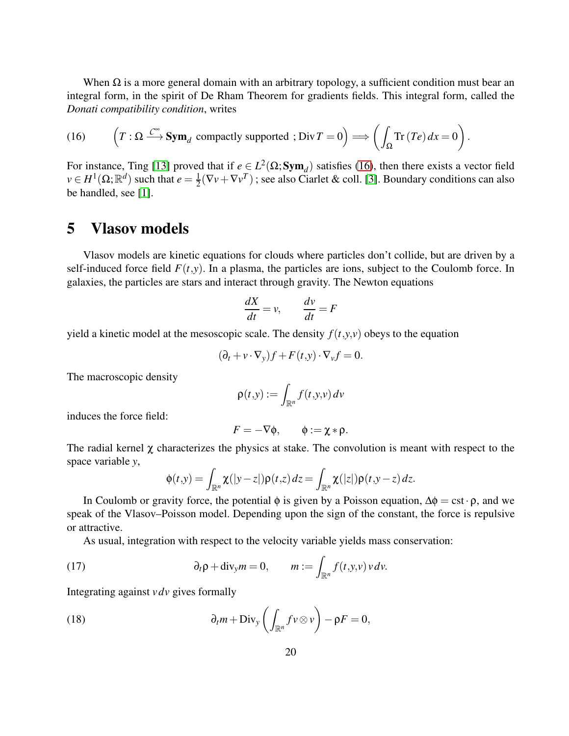When  $\Omega$  is a more general domain with an arbitrary topology, a sufficient condition must bear an integral form, in the spirit of De Rham Theorem for gradients fields. This integral form, called the *Donati compatibility condition*, writes

.

<span id="page-19-1"></span>(16) 
$$
\left(T : \Omega \xrightarrow{C^{\infty}} \mathbf{Sym}_d \text{ compactly supported }; \text{Div} T = 0\right) \Longrightarrow \left(\int_{\Omega} \text{Tr}\left(Te\right) dx = 0\right)
$$

For instance, Ting [\[13\]](#page-23-9) proved that if  $e \in L^2(\Omega; \text{Sym}_d)$  satisfies [\(16\)](#page-19-1), then there exists a vector field  $v \in H^1(\Omega;\mathbb{R}^d)$  such that  $e = \frac{1}{2}$  $\frac{1}{2}(\nabla v + \nabla v^T)$ ; see also Ciarlet & coll. [\[3\]](#page-22-1). Boundary conditions can also be handled, see [\[1\]](#page-22-2).

# <span id="page-19-0"></span>5 Vlasov models

Vlasov models are kinetic equations for clouds where particles don't collide, but are driven by a self-induced force field  $F(t, y)$ . In a plasma, the particles are ions, subject to the Coulomb force. In galaxies, the particles are stars and interact through gravity. The Newton equations

$$
\frac{dX}{dt} = v, \qquad \frac{dv}{dt} = F
$$

yield a kinetic model at the mesoscopic scale. The density  $f(t, y, v)$  obeys to the equation

$$
(\partial_t + v \cdot \nabla_y) f + F(t, y) \cdot \nabla_v f = 0.
$$

The macroscopic density

$$
\rho(t,y) := \int_{\mathbb{R}^n} f(t,y,v) \, dv
$$

induces the force field:

$$
F=-\nabla\phi,\qquad \phi:=\chi*\rho.
$$

The radial kernel  $\chi$  characterizes the physics at stake. The convolution is meant with respect to the space variable *y*,

<span id="page-19-2"></span>
$$
\phi(t,y)=\int_{\mathbb{R}^n}\chi(|y-z|)\rho(t,z)\,dz=\int_{\mathbb{R}^n}\chi(|z|)\rho(t,y-z)\,dz.
$$

In Coulomb or gravity force, the potential  $\phi$  is given by a Poisson equation,  $\Delta \phi = \text{cst} \cdot \rho$ , and we speak of the Vlasov–Poisson model. Depending upon the sign of the constant, the force is repulsive or attractive.

As usual, integration with respect to the velocity variable yields mass conservation:

(17) 
$$
\partial_t \rho + \text{div}_y m = 0, \qquad m := \int_{\mathbb{R}^n} f(t, y, v) v dv.
$$

Integrating against *v dv* gives formally

<span id="page-19-3"></span>(18) 
$$
\partial_t m + \text{Div}_y \left( \int_{\mathbb{R}^n} f v \otimes v \right) - \rho F = 0,
$$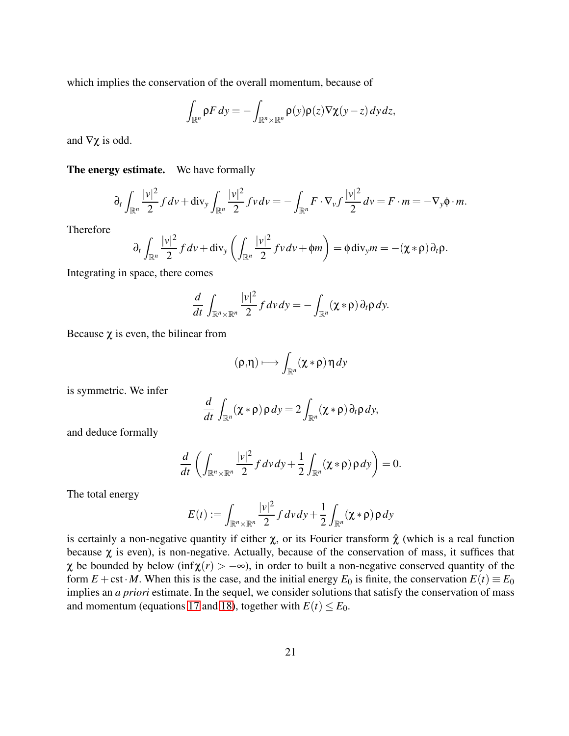which implies the conservation of the overall momentum, because of

$$
\int_{\mathbb{R}^n} \rho F dy = -\int_{\mathbb{R}^n \times \mathbb{R}^n} \rho(y) \rho(z) \nabla \chi(y-z) dy dz,
$$

and  $\nabla \chi$  is odd.

#### The energy estimate. We have formally

$$
\partial_t \int_{\mathbb{R}^n} \frac{|v|^2}{2} f dv + \text{div}_y \int_{\mathbb{R}^n} \frac{|v|^2}{2} f v dv = - \int_{\mathbb{R}^n} F \cdot \nabla_v f \frac{|v|^2}{2} dv = F \cdot m = - \nabla_y \phi \cdot m.
$$

Therefore

$$
\partial_t \int_{\mathbb{R}^n} \frac{|v|^2}{2} f dv + \text{div}_y \left( \int_{\mathbb{R}^n} \frac{|v|^2}{2} f v dv + \phi m \right) = \phi \, \text{div}_y m = -(\chi * \rho) \partial_t \rho.
$$

Integrating in space, there comes

$$
\frac{d}{dt}\int_{\mathbb{R}^n\times\mathbb{R}^n}\frac{|v|^2}{2}f\,dv\,dy=-\int_{\mathbb{R}^n}(\chi*\rho)\,\partial_t\rho\,dy.
$$

Because  $\chi$  is even, the bilinear from

$$
(\rho,\eta)\longmapsto\int_{\mathbb{R}^n}(\chi*\rho)\,\eta\,dy
$$

is symmetric. We infer

$$
\frac{d}{dt} \int_{\mathbb{R}^n} (\chi * \rho) \rho \, dy = 2 \int_{\mathbb{R}^n} (\chi * \rho) \, \partial_t \rho \, dy,
$$

and deduce formally

$$
\frac{d}{dt}\left(\int_{\mathbb{R}^n\times\mathbb{R}^n}\frac{|v|^2}{2}f\,dv\,dy+\frac{1}{2}\int_{\mathbb{R}^n}(\chi*\rho)\,\rho\,dy\right)=0.
$$

The total energy

$$
E(t) := \int_{\mathbb{R}^n \times \mathbb{R}^n} \frac{|v|^2}{2} f dv dy + \frac{1}{2} \int_{\mathbb{R}^n} (\chi * \rho) \rho dy
$$

is certainly a non-negative quantity if either  $\chi$ , or its Fourier transform  $\hat{\chi}$  (which is a real function because  $\chi$  is even), is non-negative. Actually, because of the conservation of mass, it suffices that  $\chi$  be bounded by below (inf $\chi(r) > -\infty$ ), in order to built a non-negative conserved quantity of the form  $E + \text{cst} \cdot M$ . When this is the case, and the initial energy  $E_0$  is finite, the conservation  $E(t) \equiv E_0$ implies an *a priori* estimate. In the sequel, we consider solutions that satisfy the conservation of mass and momentum (equations [17](#page-19-2) and [18\)](#page-19-3), together with  $E(t) \le E_0$ .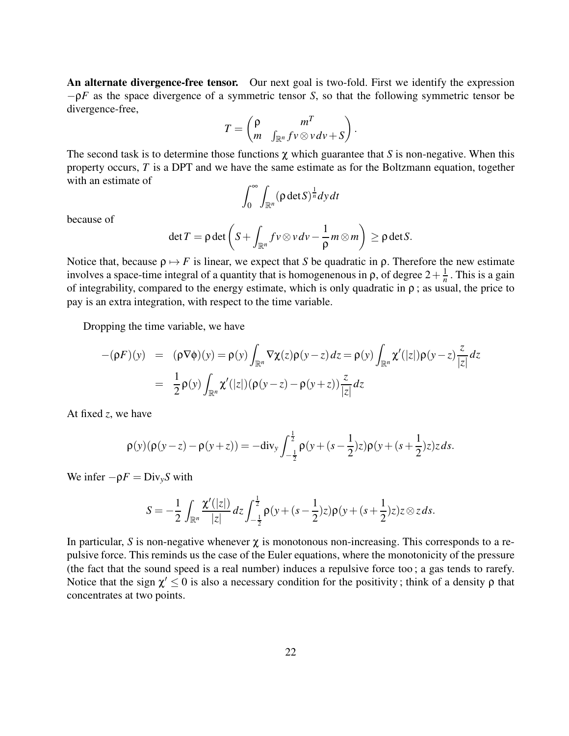An alternate divergence-free tensor. Our next goal is two-fold. First we identify the expression −ρ*F* as the space divergence of a symmetric tensor *S*, so that the following symmetric tensor be divergence-free,

$$
T=\begin{pmatrix} \rho & m^T \\ m & \int_{\mathbb{R}^n} f v \otimes v dv + S \end{pmatrix}.
$$

The second task is to determine those functions χ which guarantee that *S* is non-negative. When this property occurs, *T* is a DPT and we have the same estimate as for the Boltzmann equation, together with an estimate of

$$
\int_0^\infty \int_{\mathbb{R}^n} (\rho \det S)^{\frac{1}{n}} dy dt
$$

because of

$$
\det T = \rho \det \left( S + \int_{\mathbb{R}^n} f v \otimes v dv - \frac{1}{\rho} m \otimes m \right) \ge \rho \det S.
$$

Notice that, because  $\rho \mapsto F$  is linear, we expect that *S* be quadratic in  $\rho$ . Therefore the new estimate involves a space-time integral of a quantity that is homogenenous in  $\rho$ , of degree  $2 + \frac{1}{n}$  $\frac{1}{n}$ . This is a gain of integrability, compared to the energy estimate, which is only quadratic in  $\rho$ ; as usual, the price to pay is an extra integration, with respect to the time variable.

Dropping the time variable, we have

$$
-(\rho F)(y) = (\rho \nabla \phi)(y) = \rho(y) \int_{\mathbb{R}^n} \nabla \chi(z) \rho(y-z) dz = \rho(y) \int_{\mathbb{R}^n} \chi'(|z|) \rho(y-z) \frac{z}{|z|} dz
$$
  
= 
$$
\frac{1}{2} \rho(y) \int_{\mathbb{R}^n} \chi'(|z|) (\rho(y-z) - \rho(y+z)) \frac{z}{|z|} dz
$$

At fixed *z*, we have

$$
\rho(y)(\rho(y-z)-\rho(y+z))=-{\rm div}_y\int_{-\frac{1}{2}}^{\frac{1}{2}}\rho(y+(s-\frac{1}{2})z)\rho(y+(s+\frac{1}{2})z)z\,ds.
$$

We infer  $-\rho F = Div_{v}S$  with

$$
S=-\frac{1}{2}\int_{\mathbb{R}^n}\frac{\chi'(|z|)}{|z|}dz\int_{-\frac{1}{2}}^{\frac{1}{2}}\rho(y+(s-\frac{1}{2})z)\rho(y+(s+\frac{1}{2})z)z\otimes zds.
$$

In particular, *S* is non-negative whenever  $\chi$  is monotonous non-increasing. This corresponds to a repulsive force. This reminds us the case of the Euler equations, where the monotonicity of the pressure (the fact that the sound speed is a real number) induces a repulsive force too ; a gas tends to rarefy. Notice that the sign  $\chi' \leq 0$  is also a necessary condition for the positivity; think of a density  $\rho$  that concentrates at two points.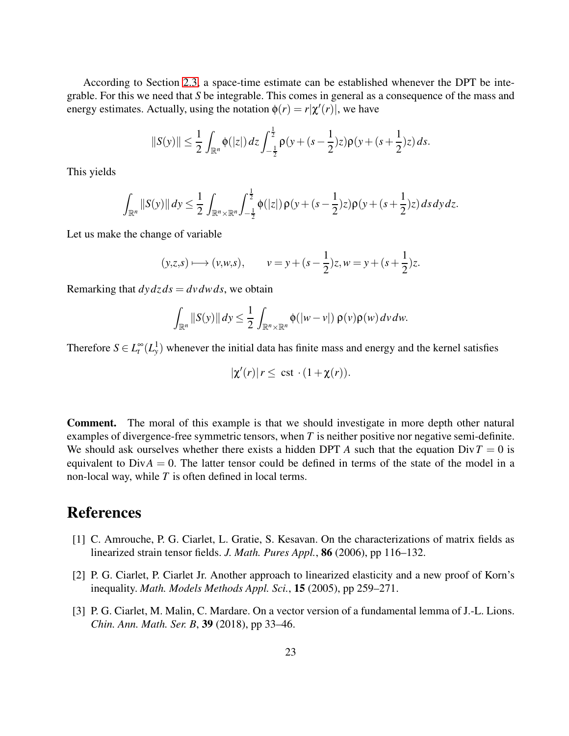According to Section [2.3,](#page-6-1) a space-time estimate can be established whenever the DPT be integrable. For this we need that *S* be integrable. This comes in general as a consequence of the mass and energy estimates. Actually, using the notation  $\phi(r) = r|\chi'(r)|$ , we have

$$
||S(y)|| \leq \frac{1}{2} \int_{\mathbb{R}^n} \phi(|z|) dz \int_{-\frac{1}{2}}^{\frac{1}{2}} \rho(y + (s - \frac{1}{2})z) \rho(y + (s + \frac{1}{2})z) ds.
$$

This yields

$$
\int_{\mathbb{R}^n} ||S(y)|| \, dy \leq \frac{1}{2} \int_{\mathbb{R}^n \times \mathbb{R}^n} \int_{-\frac{1}{2}}^{\frac{1}{2}} \phi(|z|) \, \rho(y + (s - \frac{1}{2})z) \rho(y + (s + \frac{1}{2})z) \, ds \, dy \, dz.
$$

Let us make the change of variable

$$
(y,z,s) \longmapsto (v,w,s),
$$
  $v = y + (s - \frac{1}{2})z, w = y + (s + \frac{1}{2})z.$ 

Remarking that  $dy \, dz \, ds = dv \, dw \, ds$ , we obtain

$$
\int_{\mathbb{R}^n} ||S(y)|| \, dy \leq \frac{1}{2} \int_{\mathbb{R}^n \times \mathbb{R}^n} \phi(|w-v|) \, \rho(v) \rho(w) \, dv \, dw.
$$

Therefore  $S \in L_t^{\infty}(L_y^1)$  whenever the initial data has finite mass and energy and the kernel satisfies

$$
|\chi'(r)| r \leq \text{ cst} \cdot (1 + \chi(r)).
$$

Comment. The moral of this example is that we should investigate in more depth other natural examples of divergence-free symmetric tensors, when *T* is neither positive nor negative semi-definite. We should ask ourselves whether there exists a hidden DPT *A* such that the equation  $Div T = 0$  is equivalent to  $Div A = 0$ . The latter tensor could be defined in terms of the state of the model in a non-local way, while *T* is often defined in local terms.

# <span id="page-22-2"></span>References

- [1] C. Amrouche, P. G. Ciarlet, L. Gratie, S. Kesavan. On the characterizations of matrix fields as linearized strain tensor fields. *J. Math. Pures Appl.*, 86 (2006), pp 116–132.
- <span id="page-22-0"></span>[2] P. G. Ciarlet, P. Ciarlet Jr. Another approach to linearized elasticity and a new proof of Korn's inequality. *Math. Models Methods Appl. Sci.*, 15 (2005), pp 259–271.
- <span id="page-22-1"></span>[3] P. G. Ciarlet, M. Malin, C. Mardare. On a vector version of a fundamental lemma of J.-L. Lions. *Chin. Ann. Math. Ser. B*, 39 (2018), pp 33–46.